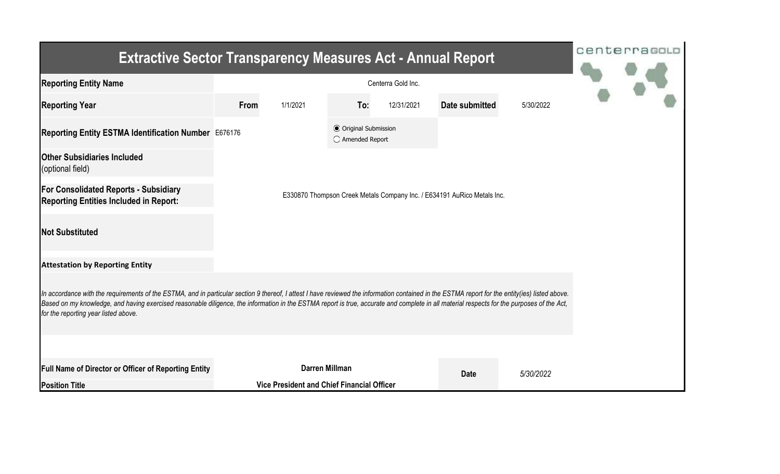| <b>Extractive Sector Transparency Measures Act - Annual Report</b>                                                                                                                                                                                                                                                                                                                                                                    |                | centerrasoLo                               |                                                           |            |                |           |  |  |  |  |
|---------------------------------------------------------------------------------------------------------------------------------------------------------------------------------------------------------------------------------------------------------------------------------------------------------------------------------------------------------------------------------------------------------------------------------------|----------------|--------------------------------------------|-----------------------------------------------------------|------------|----------------|-----------|--|--|--|--|
| <b>Reporting Entity Name</b>                                                                                                                                                                                                                                                                                                                                                                                                          |                |                                            |                                                           |            |                |           |  |  |  |  |
| <b>Reporting Year</b>                                                                                                                                                                                                                                                                                                                                                                                                                 | From           | 1/1/2021                                   | To:                                                       | 12/31/2021 | Date submitted | 5/30/2022 |  |  |  |  |
| Reporting Entity ESTMA Identification Number E676176                                                                                                                                                                                                                                                                                                                                                                                  |                |                                            | <b>◎ Original Submission</b><br>$\bigcirc$ Amended Report |            |                |           |  |  |  |  |
| <b>Other Subsidiaries Included</b><br>(optional field)                                                                                                                                                                                                                                                                                                                                                                                |                |                                            |                                                           |            |                |           |  |  |  |  |
| <b>For Consolidated Reports - Subsidiary</b><br>E330870 Thompson Creek Metals Company Inc. / E634191 AuRico Metals Inc.<br><b>Reporting Entities Included in Report:</b>                                                                                                                                                                                                                                                              |                |                                            |                                                           |            |                |           |  |  |  |  |
| <b>Not Substituted</b>                                                                                                                                                                                                                                                                                                                                                                                                                |                |                                            |                                                           |            |                |           |  |  |  |  |
| <b>Attestation by Reporting Entity</b>                                                                                                                                                                                                                                                                                                                                                                                                |                |                                            |                                                           |            |                |           |  |  |  |  |
| In accordance with the requirements of the ESTMA, and in particular section 9 thereof, I attest I have reviewed the information contained in the ESTMA report for the entity(ies) listed above.<br>Based on my knowledge, and having exercised reasonable diligence, the information in the ESTMA report is true, accurate and complete in all material respects for the purposes of the Act,<br>for the reporting year listed above. |                |                                            |                                                           |            |                |           |  |  |  |  |
|                                                                                                                                                                                                                                                                                                                                                                                                                                       |                |                                            |                                                           |            |                |           |  |  |  |  |
| <b>Full Name of Director or Officer of Reporting Entity</b>                                                                                                                                                                                                                                                                                                                                                                           | Darren Millman |                                            |                                                           |            | <b>Date</b>    | 5/30/2022 |  |  |  |  |
| <b>Position Title</b>                                                                                                                                                                                                                                                                                                                                                                                                                 |                | Vice President and Chief Financial Officer |                                                           |            |                |           |  |  |  |  |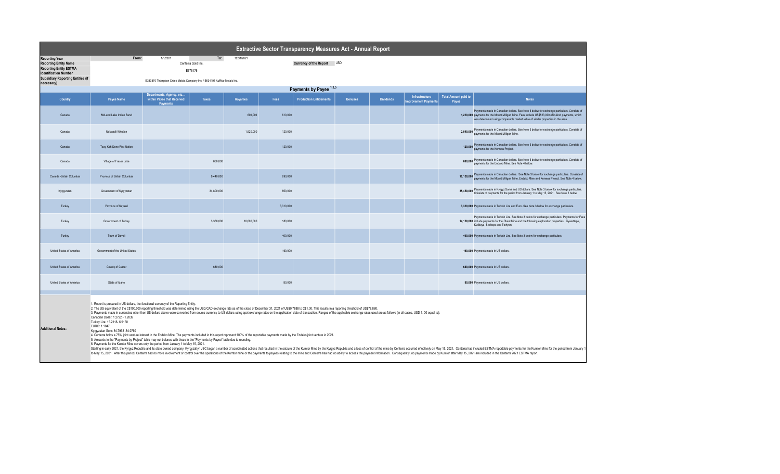| Extractive Sector Transparency Measures Act - Annual Report                                                                                                                                                                                                                                                                                                                                                                                                                                                                                                                                                                                                                                                                                                                                                                                                                                                                                                                                                                                                                                                                                                                                                                                                                                                                                                                                                                                                                                                                                                                                             |                                                                         |                                        |                                      |                  |                            |                                |                |                  |                                       |                                      |                                                                                                                                                                                                                                                                                     |  |
|---------------------------------------------------------------------------------------------------------------------------------------------------------------------------------------------------------------------------------------------------------------------------------------------------------------------------------------------------------------------------------------------------------------------------------------------------------------------------------------------------------------------------------------------------------------------------------------------------------------------------------------------------------------------------------------------------------------------------------------------------------------------------------------------------------------------------------------------------------------------------------------------------------------------------------------------------------------------------------------------------------------------------------------------------------------------------------------------------------------------------------------------------------------------------------------------------------------------------------------------------------------------------------------------------------------------------------------------------------------------------------------------------------------------------------------------------------------------------------------------------------------------------------------------------------------------------------------------------------|-------------------------------------------------------------------------|----------------------------------------|--------------------------------------|------------------|----------------------------|--------------------------------|----------------|------------------|---------------------------------------|--------------------------------------|-------------------------------------------------------------------------------------------------------------------------------------------------------------------------------------------------------------------------------------------------------------------------------------|--|
| <b>Reporting Year</b><br><b>Reporting Entity Name</b><br><b>Reporting Entity ESTMA</b><br><b>Identification Number</b>                                                                                                                                                                                                                                                                                                                                                                                                                                                                                                                                                                                                                                                                                                                                                                                                                                                                                                                                                                                                                                                                                                                                                                                                                                                                                                                                                                                                                                                                                  | From:                                                                   | 1/1/2021                               | To:<br>Centerra Gold Inc.<br>E676176 | 12/31/2021       | Currency of the Report USD |                                |                |                  |                                       |                                      |                                                                                                                                                                                                                                                                                     |  |
| <b>Subsidiary Reporting Entities (if</b><br>necessary)                                                                                                                                                                                                                                                                                                                                                                                                                                                                                                                                                                                                                                                                                                                                                                                                                                                                                                                                                                                                                                                                                                                                                                                                                                                                                                                                                                                                                                                                                                                                                  | E330870 Thompson Creek Metals Company Inc. / E634191 AuRico Metals Inc. |                                        |                                      |                  |                            |                                |                |                  |                                       |                                      |                                                                                                                                                                                                                                                                                     |  |
|                                                                                                                                                                                                                                                                                                                                                                                                                                                                                                                                                                                                                                                                                                                                                                                                                                                                                                                                                                                                                                                                                                                                                                                                                                                                                                                                                                                                                                                                                                                                                                                                         | Payments by Payee 1,3,5<br>Departments, Agency, etc                     |                                        |                                      |                  |                            |                                |                |                  |                                       |                                      |                                                                                                                                                                                                                                                                                     |  |
| Country                                                                                                                                                                                                                                                                                                                                                                                                                                                                                                                                                                                                                                                                                                                                                                                                                                                                                                                                                                                                                                                                                                                                                                                                                                                                                                                                                                                                                                                                                                                                                                                                 | Payee Name                                                              | within Payee that Received<br>Payments | Taxes                                | <b>Royalties</b> | Fees                       | <b>Production Entitlements</b> | <b>Bonuses</b> | <b>Dividends</b> | Infrastructure<br>mprovement Payments | <b>Total Amount paid to</b><br>Payee | <b>Notes</b>                                                                                                                                                                                                                                                                        |  |
| Canada                                                                                                                                                                                                                                                                                                                                                                                                                                                                                                                                                                                                                                                                                                                                                                                                                                                                                                                                                                                                                                                                                                                                                                                                                                                                                                                                                                                                                                                                                                                                                                                                  | McLeod Lake Indian Band                                                 |                                        |                                      | 600.000          | 610,000                    |                                |                |                  |                                       |                                      | Payments made in Canadian dollars. See Note 3 below for exchange particulars. Consists of<br>1,210,000 payments for the Mount Milligan Mine. Fees include US\$523,000 of in-kind payments, which<br>was determined using comparable market value of similar properties in the area. |  |
| Canada                                                                                                                                                                                                                                                                                                                                                                                                                                                                                                                                                                                                                                                                                                                                                                                                                                                                                                                                                                                                                                                                                                                                                                                                                                                                                                                                                                                                                                                                                                                                                                                                  | Nak'azdli Whut'en                                                       |                                        |                                      | 1,920,000        | 120,000                    |                                |                |                  |                                       |                                      | 2,040,000 Payments made in Canadian dollars. See Note 3 below for exchange particulars. Consists of<br>payments for the Mount Milligan Mine.                                                                                                                                        |  |
| Canada                                                                                                                                                                                                                                                                                                                                                                                                                                                                                                                                                                                                                                                                                                                                                                                                                                                                                                                                                                                                                                                                                                                                                                                                                                                                                                                                                                                                                                                                                                                                                                                                  | Tsay Keh Dene First Nation                                              |                                        |                                      |                  | 120,000                    |                                |                |                  |                                       |                                      | 120,000 Payments made in Canadian dollars. See Note 3 below for exchange particulars. Consists of<br>payments for the Kemess Project.                                                                                                                                               |  |
| Canada                                                                                                                                                                                                                                                                                                                                                                                                                                                                                                                                                                                                                                                                                                                                                                                                                                                                                                                                                                                                                                                                                                                                                                                                                                                                                                                                                                                                                                                                                                                                                                                                  | Village of Fraser Lake                                                  |                                        | 680,000                              |                  |                            |                                |                |                  |                                       |                                      | 680,000 Payments made in Canadian dollars. See Note 3 below for exchange particulars. Consists of<br>payments for the Endako Mine. See Note 4 below.                                                                                                                                |  |
| Canada - British Columbia                                                                                                                                                                                                                                                                                                                                                                                                                                                                                                                                                                                                                                                                                                                                                                                                                                                                                                                                                                                                                                                                                                                                                                                                                                                                                                                                                                                                                                                                                                                                                                               | Province of British Columbia                                            |                                        | 9,440,000                            |                  | 690,000                    |                                |                |                  |                                       |                                      | 10,130,000 Payments made in Canadian dollars. See Note 3 below for exchange particulars. Consists of<br>payments for the Mount Milligan Mine, Endako Mine and Kemess Project. See Note 4 below.                                                                                     |  |
| Kyrgyzstan                                                                                                                                                                                                                                                                                                                                                                                                                                                                                                                                                                                                                                                                                                                                                                                                                                                                                                                                                                                                                                                                                                                                                                                                                                                                                                                                                                                                                                                                                                                                                                                              | Government of Kyrgyzstan                                                |                                        | 34,800,000                           |                  | 650,000                    |                                |                |                  |                                       |                                      | 35,450,000 Payments made in Kyrgyz Soms and US dollars. See Note 3 below for exchange particulars.<br>Consists of payments for the period from January 1 to May 15, 2021. See Note 6 below.                                                                                         |  |
| Turkey                                                                                                                                                                                                                                                                                                                                                                                                                                                                                                                                                                                                                                                                                                                                                                                                                                                                                                                                                                                                                                                                                                                                                                                                                                                                                                                                                                                                                                                                                                                                                                                                  | Province of Kayseri                                                     |                                        |                                      |                  | 3,310,000                  |                                |                |                  |                                       |                                      | 3,310,000 Payments made in Turkish Lira and Euro. See Note 3 below for exchange particulars.                                                                                                                                                                                        |  |
| Turkey                                                                                                                                                                                                                                                                                                                                                                                                                                                                                                                                                                                                                                                                                                                                                                                                                                                                                                                                                                                                                                                                                                                                                                                                                                                                                                                                                                                                                                                                                                                                                                                                  | Government of Turkey                                                    |                                        | 3.380.000                            | 10.600.000       | 180,000                    |                                |                |                  |                                       |                                      | Payments made in Turkish Lira. See Note 3 below for exchange particulars. Payments for Fees<br>14,160,000 include payments for the Oksut Mine and the following exploration properties: Ziyarettepe,<br>Kizilkaya, Sivritepe and Tethyan.                                           |  |
| Turkey                                                                                                                                                                                                                                                                                                                                                                                                                                                                                                                                                                                                                                                                                                                                                                                                                                                                                                                                                                                                                                                                                                                                                                                                                                                                                                                                                                                                                                                                                                                                                                                                  | Town of Develi                                                          |                                        |                                      |                  | 400.000                    |                                |                |                  |                                       |                                      | 400,000 Payments made in Turkish Lira. See Note 3 below for exchange particulars.                                                                                                                                                                                                   |  |
| United States of America                                                                                                                                                                                                                                                                                                                                                                                                                                                                                                                                                                                                                                                                                                                                                                                                                                                                                                                                                                                                                                                                                                                                                                                                                                                                                                                                                                                                                                                                                                                                                                                | Government of the United States                                         |                                        |                                      |                  | 190,000                    |                                |                |                  |                                       |                                      | 190,000 Payments made in US dollars.                                                                                                                                                                                                                                                |  |
| United States of America                                                                                                                                                                                                                                                                                                                                                                                                                                                                                                                                                                                                                                                                                                                                                                                                                                                                                                                                                                                                                                                                                                                                                                                                                                                                                                                                                                                                                                                                                                                                                                                | County of Custer                                                        |                                        | 680,000                              |                  |                            |                                |                |                  |                                       |                                      | 680,000 Payments made in US dollars.                                                                                                                                                                                                                                                |  |
| United States of America                                                                                                                                                                                                                                                                                                                                                                                                                                                                                                                                                                                                                                                                                                                                                                                                                                                                                                                                                                                                                                                                                                                                                                                                                                                                                                                                                                                                                                                                                                                                                                                | State of Idaho                                                          |                                        |                                      |                  | 80,000                     |                                |                |                  |                                       |                                      | 80,000 Payments made in US dollars.                                                                                                                                                                                                                                                 |  |
| 1. Report is prepared in US dollars, the functional currency of the Reporting Entity.<br>2. The US equivalent of the C\$100,000 reporting threshold was determined using the USD/CAD exchange rate as of the close of December 31, 2021 of US\$0.7888 to C\$1.00. This results in a reporting threshold of US\$78,880.<br>3. Payments made in currencies other then US dollars above were converted from source currency to US dollars using spot exchange rates on the application date of transaction. Ranges of the applicable exchange rates used ar<br>Canadian Dollar: 1.2722 - 1.2039<br>Turkey Lira: 15.2118- 6.9150<br>EURO: 1.1847<br><b>Additional Notes:</b><br>Kyrgyzstan Som: 84.7968 -84.0760<br>4. Centerra holds a 75% joint venture interest in the Endako Mine. The payments included in this report represent 100% of the reportable payments made by the Endako joint venture in 2021.<br>5. Amounts in the "Payments by Project" table may not balance with those in the "Payments by Payee" table due to rounding.<br>6. Payments for the Kumtor Mine covers only the period from January 1 to May 15, 2021.<br>Starting in early 2021, the Kyrgyz Republic and its state owned company, Kyrgyzaltyn JSC began a number of coordinated actions that resulted in the seizure of the Kumtor Mine by the Kyrgyz Republic and a loss of control of<br>to May 15, 2021. After this period, Centerra had no more involvement or control over the operations of the Kumtor mine or the payments to payees relating to the mine and Centerra has had no ability to access the payment in |                                                                         |                                        |                                      |                  |                            |                                |                |                  |                                       |                                      |                                                                                                                                                                                                                                                                                     |  |